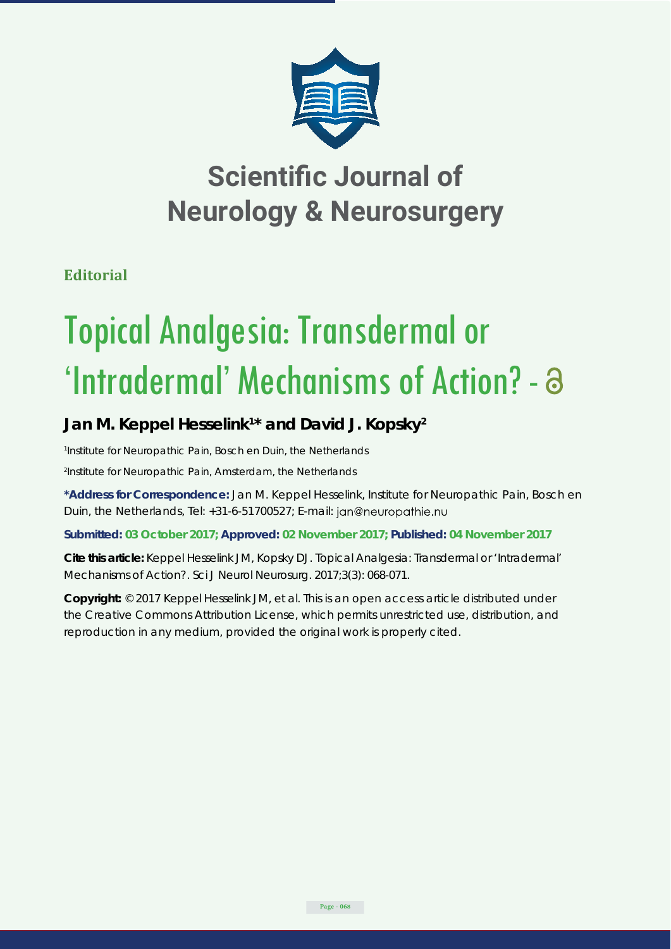

## **Scientific Journal of Neurology & Neurosurgery**

**Editorial**

# Topical Analgesia: Transdermal or 'Intradermal' Mechanisms of Action? -

### Jan M. Keppel Hesselink<sup>1\*</sup> and David J. Kopsky<sup>2</sup>

*1 Institute for Neuropathic Pain, Bosch en Duin, the Netherlands 2 Institute for Neuropathic Pain, Amsterdam, the Netherlands*

**\*Address for Correspondence:** Jan M. Keppel Hesselink, Institute for Neuropathic Pain, Bosch en Duin, the Netherlands, Tel: +31-6-51700527; E-mail: jan@neuropathie.nu

**Submitted: 03 October 2017; Approved: 02 November 2017; Published: 04 November 2017**

**Cite this article:** Keppel Hesselink JM, Kopsky DJ. Topical Analgesia: Transdermal or 'Intradermal' Mechanisms of Action?. Sci J Neurol Neurosurg. 2017;3(3): 068-071.

**Copyright:** © 2017 Keppel Hesselink JM, et al. This is an open access article distributed under the Creative Commons Attribution License, which permits unrestricted use, distribution, and reproduction in any medium, provided the original work is properly cited.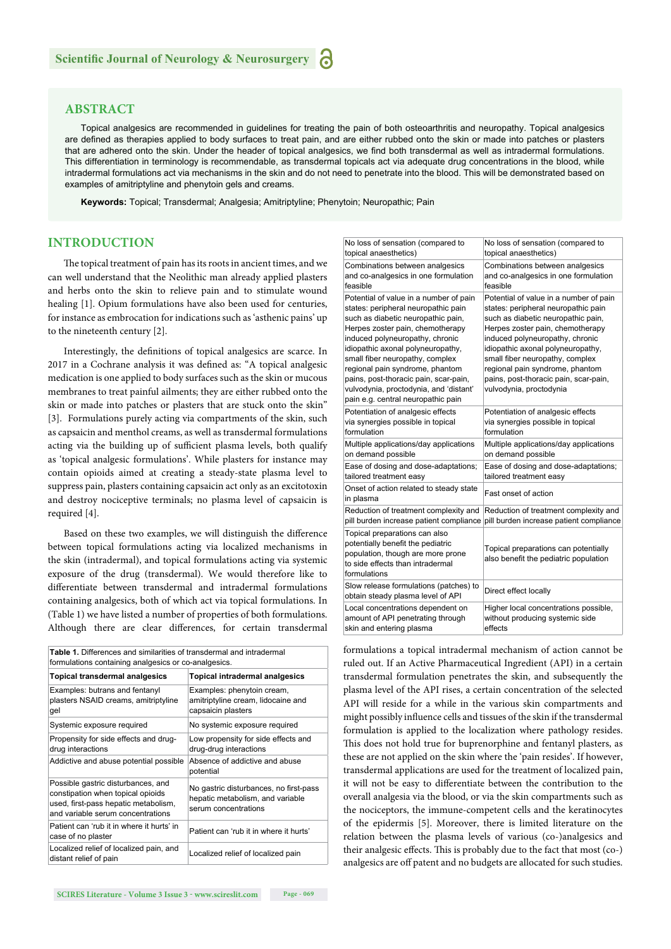#### **ABSTRACT**

Topical analgesics are recommended in guidelines for treating the pain of both osteoarthritis and neuropathy. Topical analgesics are defined as therapies applied to body surfaces to treat pain, and are either rubbed onto the skin or made into patches or plasters that are adhered onto the skin. Under the header of topical analgesics, we find both transdermal as well as intradermal formulations. This differentiation in terminology is recommendable, as transdermal topicals act via adequate drug concentrations in the blood, while intradermal formulations act via mechanisms in the skin and do not need to penetrate into the blood. This will be demonstrated based on examples of amitriptyline and phenytoin gels and creams.

**Keywords:** Topical; Transdermal; Analgesia; Amitriptyline; Phenytoin; Neuropathic; Pain

#### **INTRODUCTION**

The topical treatment of pain has its roots in ancient times, and we can well understand that the Neolithic man already applied plasters and herbs onto the skin to relieve pain and to stimulate wound healing [1]. Opium formulations have also been used for centuries, for instance as embrocation for indications such as 'asthenic pains' up to the nineteenth century [2].

Interestingly, the definitions of topical analgesics are scarce. In 2017 in a Cochrane analysis it was defined as: "A topical analgesic medication is one applied to body surfaces such as the skin or mucous membranes to treat painful ailments; they are either rubbed onto the skin or made into patches or plasters that are stuck onto the skin" [3]. Formulations purely acting via compartments of the skin, such as capsaicin and menthol creams, as well as transdermal formulations acting via the building up of sufficient plasma levels, both qualify as 'topical analgesic formulations'. While plasters for instance may contain opioids aimed at creating a steady-state plasma level to suppress pain, plasters containing capsaicin act only as an excitotoxin and destroy nociceptive terminals; no plasma level of capsaicin is required [4].

Based on these two examples, we will distinguish the difference between topical formulations acting via localized mechanisms in the skin (intradermal), and topical formulations acting via systemic exposure of the drug (transdermal). We would therefore like to differentiate between transdermal and intradermal formulations containing analgesics, both of which act via topical formulations. In (Table 1) we have listed a number of properties of both formulations. Although there are clear differences, for certain transdermal

| <b>Table 1.</b> Differences and similarities of transdermal and intradermal<br>formulations containing analgesics or co-analgesics.                  |                                                                                                    |  |  |
|------------------------------------------------------------------------------------------------------------------------------------------------------|----------------------------------------------------------------------------------------------------|--|--|
| <b>Topical transdermal analgesics</b>                                                                                                                | Topical intradermal analgesics                                                                     |  |  |
| Examples: butrans and fentanyl<br>plasters NSAID creams, amitriptyline<br>gel                                                                        | Examples: phenytoin cream,<br>amitriptyline cream, lidocaine and<br>capsaicin plasters             |  |  |
| Systemic exposure required                                                                                                                           | No systemic exposure required                                                                      |  |  |
| Propensity for side effects and drug-<br>drug interactions                                                                                           | Low propensity for side effects and<br>drug-drug interactions                                      |  |  |
| Addictive and abuse potential possible                                                                                                               | Absence of addictive and abuse<br>potential                                                        |  |  |
| Possible gastric disturbances, and<br>constipation when topical opioids<br>used, first-pass hepatic metabolism,<br>and variable serum concentrations | No gastric disturbances, no first-pass<br>hepatic metabolism, and variable<br>serum concentrations |  |  |
| Patient can 'rub it in where it hurts' in<br>case of no plaster                                                                                      | Patient can 'rub it in where it hurts'                                                             |  |  |
| Localized relief of localized pain, and<br>distant relief of pain                                                                                    | Localized relief of localized pain                                                                 |  |  |
|                                                                                                                                                      |                                                                                                    |  |  |

**SCIRES Page - 069** 

| SCIRES Literature - Volume 3 Issue 3 - www.scireslit.com |  |  |
|----------------------------------------------------------|--|--|
|                                                          |  |  |

| No loss of sensation (compared to                                                                                                                                                                                                                                                                                                                                                                                              | No loss of sensation (compared to                                                                                                                                                                                                                                                                                                                                         |
|--------------------------------------------------------------------------------------------------------------------------------------------------------------------------------------------------------------------------------------------------------------------------------------------------------------------------------------------------------------------------------------------------------------------------------|---------------------------------------------------------------------------------------------------------------------------------------------------------------------------------------------------------------------------------------------------------------------------------------------------------------------------------------------------------------------------|
| topical anaesthetics)                                                                                                                                                                                                                                                                                                                                                                                                          | topical anaesthetics)                                                                                                                                                                                                                                                                                                                                                     |
| Combinations between analgesics                                                                                                                                                                                                                                                                                                                                                                                                | Combinations between analgesics                                                                                                                                                                                                                                                                                                                                           |
| and co-analgesics in one formulation                                                                                                                                                                                                                                                                                                                                                                                           | and co-analgesics in one formulation                                                                                                                                                                                                                                                                                                                                      |
| feasible                                                                                                                                                                                                                                                                                                                                                                                                                       | feasible                                                                                                                                                                                                                                                                                                                                                                  |
| Potential of value in a number of pain<br>states: peripheral neuropathic pain<br>such as diabetic neuropathic pain,<br>Herpes zoster pain, chemotherapy<br>induced polyneuropathy, chronic<br>idiopathic axonal polyneuropathy,<br>small fiber neuropathy, complex<br>regional pain syndrome, phantom<br>pains, post-thoracic pain, scar-pain,<br>vulvodynia, proctodynia, and 'distant'<br>pain e.g. central neuropathic pain | Potential of value in a number of pain<br>states: peripheral neuropathic pain<br>such as diabetic neuropathic pain,<br>Herpes zoster pain, chemotherapy<br>induced polyneuropathy, chronic<br>idiopathic axonal polyneuropathy,<br>small fiber neuropathy, complex<br>regional pain syndrome, phantom<br>pains, post-thoracic pain, scar-pain,<br>vulvodynia, proctodynia |
| Potentiation of analgesic effects                                                                                                                                                                                                                                                                                                                                                                                              | Potentiation of analgesic effects                                                                                                                                                                                                                                                                                                                                         |
| via synergies possible in topical                                                                                                                                                                                                                                                                                                                                                                                              | via synergies possible in topical                                                                                                                                                                                                                                                                                                                                         |
| formulation                                                                                                                                                                                                                                                                                                                                                                                                                    | formulation                                                                                                                                                                                                                                                                                                                                                               |
| Multiple applications/day applications                                                                                                                                                                                                                                                                                                                                                                                         | Multiple applications/day applications                                                                                                                                                                                                                                                                                                                                    |
| on demand possible                                                                                                                                                                                                                                                                                                                                                                                                             | on demand possible                                                                                                                                                                                                                                                                                                                                                        |
| Ease of dosing and dose-adaptations;                                                                                                                                                                                                                                                                                                                                                                                           | Ease of dosing and dose-adaptations;                                                                                                                                                                                                                                                                                                                                      |
| tailored treatment easy                                                                                                                                                                                                                                                                                                                                                                                                        | tailored treatment easy                                                                                                                                                                                                                                                                                                                                                   |
| Onset of action related to steady state<br>in plasma                                                                                                                                                                                                                                                                                                                                                                           | <b>Fast onset of action</b>                                                                                                                                                                                                                                                                                                                                               |
| Reduction of treatment complexity and                                                                                                                                                                                                                                                                                                                                                                                          | Reduction of treatment complexity and                                                                                                                                                                                                                                                                                                                                     |
| pill burden increase patient compliance                                                                                                                                                                                                                                                                                                                                                                                        | pill burden increase patient compliance                                                                                                                                                                                                                                                                                                                                   |
| Topical preparations can also<br>potentially benefit the pediatric<br>population, though are more prone<br>to side effects than intradermal<br>formulations                                                                                                                                                                                                                                                                    | Topical preparations can potentially<br>also benefit the pediatric population                                                                                                                                                                                                                                                                                             |
| Slow release formulations (patches) to<br>obtain steady plasma level of API                                                                                                                                                                                                                                                                                                                                                    | Direct effect locally                                                                                                                                                                                                                                                                                                                                                     |
| Local concentrations dependent on                                                                                                                                                                                                                                                                                                                                                                                              | Higher local concentrations possible,                                                                                                                                                                                                                                                                                                                                     |
| amount of API penetrating through                                                                                                                                                                                                                                                                                                                                                                                              | without producing systemic side                                                                                                                                                                                                                                                                                                                                           |
| skin and entering plasma                                                                                                                                                                                                                                                                                                                                                                                                       | effects                                                                                                                                                                                                                                                                                                                                                                   |

formulations a topical intradermal mechanism of action cannot be ruled out. If an Active Pharmaceutical Ingredient (API) in a certain transdermal formulation penetrates the skin, and subsequently the plasma level of the API rises, a certain concentration of the selected API will reside for a while in the various skin compartments and might possibly influence cells and tissues of the skin if the transdermal formulation is applied to the localization where pathology resides. This does not hold true for buprenorphine and fentanyl plasters, as these are not applied on the skin where the 'pain resides'. If however, transdermal applications are used for the treatment of localized pain, it will not be easy to differentiate between the contribution to the overall analgesia via the blood, or via the skin compartments such as the nociceptors, the immune-competent cells and the keratinocytes of the epidermis [5]. Moreover, there is limited literature on the relation between the plasma levels of various (co-)analgesics and their analgesic effects. This is probably due to the fact that most (co-) analgesics are off patent and no budgets are allocated for such studies.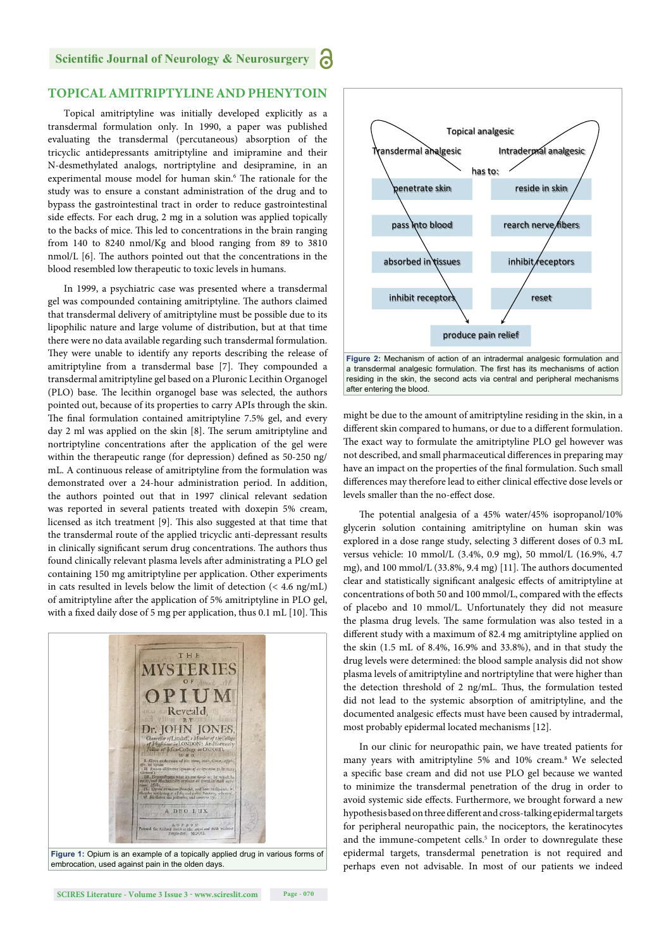#### **TOPICAL AMITRIPTYLINE AND PHENYTOIN**

Topical amitriptyline was initially developed explicitly as a transdermal formulation only. In 1990, a paper was published evaluating the transdermal (percutaneous) absorption of the tricyclic antidepressants amitriptyline and imipramine and their N-desmethylated analogs, nortriptyline and desipramine, in an experimental mouse model for human skin.<sup>6</sup> The rationale for the study was to ensure a constant administration of the drug and to bypass the gastrointestinal tract in order to reduce gastrointestinal side effects. For each drug, 2 mg in a solution was applied topically to the backs of mice. This led to concentrations in the brain ranging from 140 to 8240 nmol/Kg and blood ranging from 89 to 3810  $nmol/L$  [6]. The authors pointed out that the concentrations in the blood resembled low therapeutic to toxic levels in humans.

In 1999, a psychiatric case was presented where a transdermal gel was compounded containing amitriptyline. The authors claimed that transdermal delivery of amitriptyline must be possible due to its lipophilic nature and large volume of distribution, but at that time there were no data available regarding such transdermal formulation. They were unable to identify any reports describing the release of amitriptyline from a transdermal base [7]. They compounded a transdermal amitriptyline gel based on a Pluronic Lecithin Organogel (PLO) base. The lecithin organogel base was selected, the authors pointed out, because of its properties to carry APIs through the skin. The final formulation contained amitriptyline 7.5% gel, and every day 2 ml was applied on the skin [8]. The serum amitriptyline and nortriptyline concentrations after the application of the gel were within the therapeutic range (for depression) defined as 50-250 ng/ mL. A continuous release of amitriptyline from the formulation was demonstrated over a 24-hour administration period. In addition, the authors pointed out that in 1997 clinical relevant sedation was reported in several patients treated with doxepin 5% cream, licensed as itch treatment [9]. This also suggested at that time that the transdermal route of the applied tricyclic anti-depressant results in clinically significant serum drug concentrations. The authors thus found clinically relevant plasma levels after administrating a PLO gel containing 150 mg amitriptyline per application. Other experiments in cats resulted in levels below the limit of detection (< 4.6 ng/mL) of amitriptyline after the application of 5% amitriptyline in PLO gel, with a fixed daily dose of 5 mg per application, thus  $0.1$  mL  $[10]$ . This



embrocation, used against pain in the olden days.



**Figure 2:** Mechanism of action of an intradermal analgesic formulation and a transdermal analgesic formulation. The first has its mechanisms of action residing in the skin, the second acts via central and peripheral mechanisms after entering the blood.

might be due to the amount of amitriptyline residing in the skin, in a different skin compared to humans, or due to a different formulation. The exact way to formulate the amitriptyline PLO gel however was not described, and small pharmaceutical differences in preparing may have an impact on the properties of the final formulation. Such small differences may therefore lead to either clinical effective dose levels or levels smaller than the no-effect dose.

The potential analgesia of a 45% water/45% isopropanol/10% glycerin solution containing amitriptyline on human skin was explored in a dose range study, selecting 3 different doses of 0.3 mL versus vehicle: 10 mmol/L (3.4%, 0.9 mg), 50 mmol/L (16.9%, 4.7 mg), and 100 mmol/L (33.8%, 9.4 mg) [11]. The authors documented clear and statistically significant analgesic effects of amitriptyline at concentrations of both 50 and 100 mmol/L, compared with the effects of placebo and 10 mmol/L. Unfortunately they did not measure the plasma drug levels. The same formulation was also tested in a different study with a maximum of 82.4 mg amitriptyline applied on the skin (1.5 mL of 8.4%, 16.9% and 33.8%), and in that study the drug levels were determined: the blood sample analysis did not show plasma levels of amitriptyline and nortriptyline that were higher than the detection threshold of 2 ng/mL. Thus, the formulation tested did not lead to the systemic absorption of amitriptyline, and the documented analgesic effects must have been caused by intradermal, most probably epidermal located mechanisms [12].

In our clinic for neuropathic pain, we have treated patients for many years with amitriptyline 5% and 10% cream.<sup>8</sup> We selected a specific base cream and did not use PLO gel because we wanted to minimize the transdermal penetration of the drug in order to avoid systemic side effects. Furthermore, we brought forward a new hypothesis based on three different and cross-talking epidermal targets for peripheral neuropathic pain, the nociceptors, the keratinocytes and the immune-competent cells.<sup>5</sup> In order to downregulate these epidermal targets, transdermal penetration is not required and perhaps even not advisable. In most of our patients we indeed